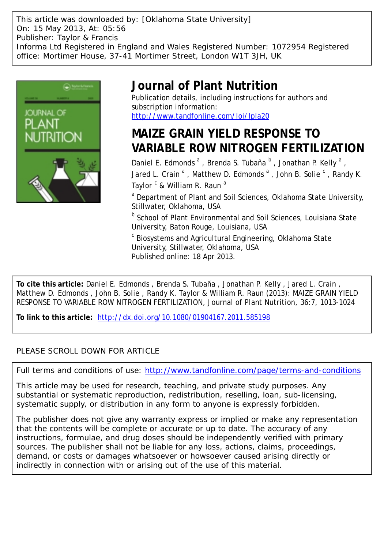This article was downloaded by: [Oklahoma State University] On: 15 May 2013, At: 05:56 Publisher: Taylor & Francis Informa Ltd Registered in England and Wales Registered Number: 1072954 Registered office: Mortimer House, 37-41 Mortimer Street, London W1T 3JH, UK



## **Journal of Plant Nutrition**

Publication details, including instructions for authors and subscription information: <http://www.tandfonline.com/loi/lpla20>

# **MAIZE GRAIN YIELD RESPONSE TO VARIABLE ROW NITROGEN FERTILIZATION**

Daniel E. Edmonds<sup>a</sup>, Brenda S. Tubaña<sup>b</sup>, Jonathan P. Kelly<sup>a</sup>, Jared L. Crain  $^{\mathsf{a}}$  , Matthew D. Edmonds  $^{\mathsf{a}}$  , John B. Solie  $^{\mathsf{c}}$  , Randy K. Taylor <sup>c</sup> & William R. Raun <sup>a</sup>

<sup>a</sup> Department of Plant and Soil Sciences, Oklahoma State University, Stillwater, Oklahoma, USA

**b** School of Plant Environmental and Soil Sciences, Louisiana State University, Baton Rouge, Louisiana, USA

 $\mathrm{^{c}}$  Biosystems and Agricultural Engineering, Oklahoma State University, Stillwater, Oklahoma, USA Published online: 18 Apr 2013.

**To cite this article:** Daniel E. Edmonds , Brenda S. Tubaña , Jonathan P. Kelly , Jared L. Crain , Matthew D. Edmonds , John B. Solie , Randy K. Taylor & William R. Raun (2013): MAIZE GRAIN YIELD RESPONSE TO VARIABLE ROW NITROGEN FERTILIZATION, Journal of Plant Nutrition, 36:7, 1013-1024

**To link to this article:** <http://dx.doi.org/10.1080/01904167.2011.585198>

### PLEASE SCROLL DOWN FOR ARTICLE

Full terms and conditions of use:<http://www.tandfonline.com/page/terms-and-conditions>

This article may be used for research, teaching, and private study purposes. Any substantial or systematic reproduction, redistribution, reselling, loan, sub-licensing, systematic supply, or distribution in any form to anyone is expressly forbidden.

The publisher does not give any warranty express or implied or make any representation that the contents will be complete or accurate or up to date. The accuracy of any instructions, formulae, and drug doses should be independently verified with primary sources. The publisher shall not be liable for any loss, actions, claims, proceedings, demand, or costs or damages whatsoever or howsoever caused arising directly or indirectly in connection with or arising out of the use of this material.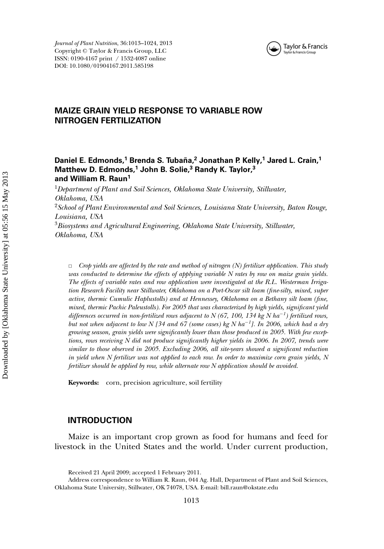

*Journal of Plant Nutrition*, 36:1013–1024, 2013 Copyright © Taylor & Francis Group, LLC ISSN: 0190-4167 print / 1532-4087 online DOI: 10.1080/01904167.2011.585198

### **MAIZE GRAIN YIELD RESPONSE TO VARIABLE ROW NITROGEN FERTILIZATION**

#### **Daniel E. Edmonds,<sup>1</sup> Brenda S. Tubana, ˜ <sup>2</sup> Jonathan P. Kelly,<sup>1</sup> Jared L. Crain,<sup>1</sup> Matthew D. Edmonds,<sup>1</sup> John B. Solie,<sup>3</sup> Randy K. Taylor,<sup>3</sup> and William R. Raun1**

<sup>1</sup>*Department of Plant and Soil Sciences, Oklahoma State University, Stillwater, Oklahoma, USA* <sup>2</sup>*School of Plant Environmental and Soil Sciences, Louisiana State University, Baton Rouge, Louisiana, USA* <sup>3</sup>*Biosystems and Agricultural Engineering, Oklahoma State University, Stillwater, Oklahoma, USA*

 $\Box$  *Crop yields are affected by the rate and method of nitrogen (N) fertilizer application. This study was conducted to determine the effects of applying variable N rates by row on maize grain yields. The effects of variable rates and row application were investigated at the R.L. Westerman Irrigation Research Facility near Stillwater, Oklahoma on a Port-Oscar silt loam (fine-silty, mixed, super active, thermic Cumulic Haplustolls) and at Hennessey, Oklahoma on a Bethany silt loam (fine, mixed, thermic Pachic Paleustolls). For 2005 that was characterized by high yields, significant yield differences occurred in non-fertilized rows adjacent to N (67, 100, 134 kg N ha*−*<sup>1</sup> ) fertilized rows, but not when adjacent to low N [34 and 67 (some cases) kg N ha*−*<sup>1</sup> ]. In 2006, which had a dry growing season, grain yields were significantly lower than those produced in 2005. With few exceptions, rows receiving N did not produce significantly higher yields in 2006. In 2007, trends were similar to those observed in 2005. Excluding 2006, all site-years showed a significant reduction in yield when N fertilizer was not applied to each row. In order to maximize corn grain yields, N fertilizer should be applied by row, while alternate row N application should be avoided.*

**Keywords:** corn, precision agriculture, soil fertility

#### **INTRODUCTION**

Maize is an important crop grown as food for humans and feed for livestock in the United States and the world. Under current production,

Received 21 April 2009; accepted 1 February 2011.

Address correspondence to William R. Raun, 044 Ag. Hall, Department of Plant and Soil Sciences, Oklahoma State University, Stillwater, OK 74078, USA. E-mail: bill.raun@okstate.edu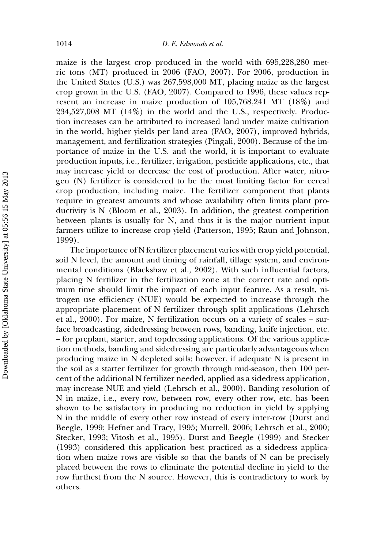maize is the largest crop produced in the world with 695,228,280 metric tons (MT) produced in 2006 (FAO, 2007). For 2006, production in the United States (U.S.) was 267,598,000 MT, placing maize as the largest crop grown in the U.S. (FAO, 2007). Compared to 1996, these values represent an increase in maize production of 105,768,241 MT (18%) and  $234,527,008$  MT  $(14%)$  in the world and the U.S., respectively. Production increases can be attributed to increased land under maize cultivation in the world, higher yields per land area (FAO, 2007), improved hybrids, management, and fertilization strategies (Pingali, 2000). Because of the importance of maize in the U.S. and the world, it is important to evaluate production inputs, i.e., fertilizer, irrigation, pesticide applications, etc., that may increase yield or decrease the cost of production. After water, nitrogen (N) fertilizer is considered to be the most limiting factor for cereal crop production, including maize. The fertilizer component that plants require in greatest amounts and whose availability often limits plant productivity is N (Bloom et al., 2003). In addition, the greatest competition between plants is usually for N, and thus it is the major nutrient input farmers utilize to increase crop yield (Patterson, 1995; Raun and Johnson, 1999).

The importance of N fertilizer placement varies with crop yield potential, soil N level, the amount and timing of rainfall, tillage system, and environmental conditions (Blackshaw et al., 2002). With such influential factors, placing N fertilizer in the fertilization zone at the correct rate and optimum time should limit the impact of each input feature. As a result, nitrogen use efficiency (NUE) would be expected to increase through the appropriate placement of N fertilizer through split applications (Lehrsch et al., 2000). For maize, N fertilization occurs on a variety of scales – surface broadcasting, sidedressing between rows, banding, knife injection, etc. – for preplant, starter, and topdressing applications. Of the various application methods, banding and sidedressing are particularly advantageous when producing maize in N depleted soils; however, if adequate N is present in the soil as a starter fertilizer for growth through mid-season, then 100 percent of the additional N fertilizer needed, applied as a sidedress application, may increase NUE and yield (Lehrsch et al., 2000). Banding resolution of N in maize, i.e., every row, between row, every other row, etc. has been shown to be satisfactory in producing no reduction in yield by applying N in the middle of every other row instead of every inter-row (Durst and Beegle, 1999; Hefner and Tracy, 1995; Murrell, 2006; Lehrsch et al., 2000; Stecker, 1993; Vitosh et al., 1995). Durst and Beegle (1999) and Stecker (1993) considered this application best practiced as a sidedress application when maize rows are visible so that the bands of N can be precisely placed between the rows to eliminate the potential decline in yield to the row furthest from the N source. However, this is contradictory to work by others.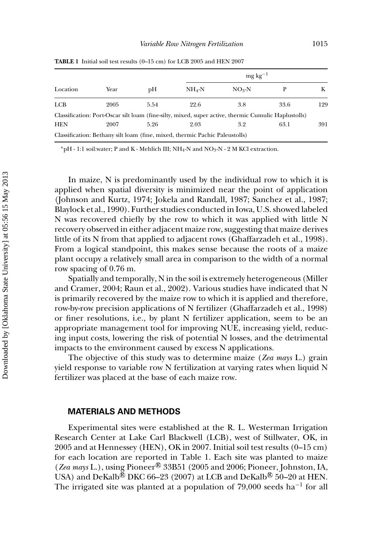|            |      |      |                                                                             | $mg \text{ kg}^{-1}$                                                                                |      |     |
|------------|------|------|-----------------------------------------------------------------------------|-----------------------------------------------------------------------------------------------------|------|-----|
| Location   | Year | pН   | $NH_4-N$                                                                    | $NO_3-N$                                                                                            |      | K   |
| <b>LCB</b> | 2005 | 5.54 | 22.6                                                                        | 3.8                                                                                                 | 33.6 | 129 |
|            |      |      |                                                                             | Classification: Port-Oscar silt loam (fine-silty, mixed, super active, thermic Cumulic Haplustolls) |      |     |
| <b>HEN</b> | 2007 | 5.26 | 2.03                                                                        | 3.2                                                                                                 | 63.1 | 391 |
|            |      |      | Classification: Bethany silt loam (fine, mixed, thermic Pachic Paleustolls) |                                                                                                     |      |     |

**TABLE 1** Initial soil test results (0–15 cm) for LCB 2005 and HEN 2007

<sup>∗</sup>pH - 1:1 soil:water; P and K - Mehlich III; NH4-N and NO3-N - 2 M KCl extraction.

In maize, N is predominantly used by the individual row to which it is applied when spatial diversity is minimized near the point of application (Johnson and Kurtz, 1974; Jokela and Randall, 1987; Sanchez et al., 1987; Blaylock et al., 1990). Further studies conducted in Iowa, U.S. showed labeled N was recovered chiefly by the row to which it was applied with little N recovery observed in either adjacent maize row, suggesting that maize derives little of its N from that applied to adjacent rows (Ghaffarzadeh et al., 1998). From a logical standpoint, this makes sense because the roots of a maize plant occupy a relatively small area in comparison to the width of a normal row spacing of 0.76 m.

Spatially and temporally, N in the soil is extremely heterogeneous (Miller and Cramer, 2004; Raun et al., 2002). Various studies have indicated that N is primarily recovered by the maize row to which it is applied and therefore, row-by-row precision applications of N fertilizer (Ghaffarzadeh et al., 1998) or finer resolutions, i.e., by plant N fertilizer application, seem to be an appropriate management tool for improving NUE, increasing yield, reducing input costs, lowering the risk of potential N losses, and the detrimental impacts to the environment caused by excess N applications.

The objective of this study was to determine maize (*Zea mays* L.) grain yield response to variable row N fertilization at varying rates when liquid N fertilizer was placed at the base of each maize row.

#### **MATERIALS AND METHODS**

Experimental sites were established at the R. L. Westerman Irrigation Research Center at Lake Carl Blackwell (LCB), west of Stillwater, OK, in 2005 and at Hennessey (HEN), OK in 2007. Initial soil test results (0–15 cm) for each location are reported in Table 1. Each site was planted to maize (*Zea mays* L.), using Pioneer<sup>®</sup> 33B51 (2005 and 2006; Pioneer, Johnston, IA, USA) and DeKalb $^{\circledR}$  DKC 66–23 (2007) at LCB and DeKalb $^{\circledR}$  50–20 at HEN. The irrigated site was planted at a population of 79,000 seeds ha<sup>-1</sup> for all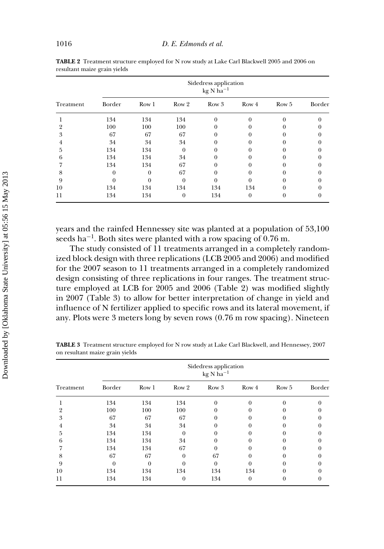| Treatment |        | Sidedress application<br>$kg N ha^{-1}$ |                |          |       |       |        |  |  |  |
|-----------|--------|-----------------------------------------|----------------|----------|-------|-------|--------|--|--|--|
|           | Border | Row <sub>1</sub>                        | Row 2          | Row 3    | Row 4 | Row 5 | Border |  |  |  |
|           | 134    | 134                                     | 134            | $\Omega$ |       | 0     |        |  |  |  |
| 2         | 100    | 100                                     | 100            |          |       |       |        |  |  |  |
| 3         | 67     | 67                                      | 67             |          |       |       |        |  |  |  |
| 4         | 34     | 34                                      | 34             |          |       |       |        |  |  |  |
| 5         | 134    | 134                                     | $\Omega$       |          |       |       |        |  |  |  |
| 6         | 134    | 134                                     | 34             |          |       |       |        |  |  |  |
|           | 134    | 134                                     | 67             |          |       |       |        |  |  |  |
| 8         | $_{0}$ | 0                                       | 67             |          |       |       |        |  |  |  |
| 9         |        | 0                                       | 0              |          |       |       |        |  |  |  |
| 10        | 134    | 134                                     | 134            | 134      | 134   |       |        |  |  |  |
| 11        | 134    | 134                                     | $\overline{0}$ | 134      | 0     | 0     |        |  |  |  |

**TABLE 2** Treatment structure employed for N row study at Lake Carl Blackwell 2005 and 2006 on resultant maize grain yields

years and the rainfed Hennessey site was planted at a population of 53,100 seeds ha<sup> $-1$ </sup>. Both sites were planted with a row spacing of 0.76 m.

The study consisted of 11 treatments arranged in a completely randomized block design with three replications (LCB 2005 and 2006) and modified for the 2007 season to 11 treatments arranged in a completely randomized design consisting of three replications in four ranges. The treatment structure employed at LCB for 2005 and 2006 (Table 2) was modified slightly in 2007 (Table 3) to allow for better interpretation of change in yield and influence of N fertilizer applied to specific rows and its lateral movement, if any. Plots were 3 meters long by seven rows (0.76 m row spacing). Nineteen

| Treatment | Sidedress application<br>$kg N ha^{-1}$ |                  |              |          |          |          |        |  |  |  |
|-----------|-----------------------------------------|------------------|--------------|----------|----------|----------|--------|--|--|--|
|           | Border                                  | Row <sub>1</sub> | Row 2        | Row 3    | Row 4    | Row 5    | Border |  |  |  |
|           | 134                                     | 134              | 134          | $\Omega$ | $\Omega$ | $\Omega$ |        |  |  |  |
| 2         | 100                                     | 100              | 100          |          |          |          |        |  |  |  |
| 3         | 67                                      | 67               | 67           | 0        | $^{(1)}$ |          |        |  |  |  |
| 4         | 34                                      | 34               | 34           | 0        | 0        |          |        |  |  |  |
| 5         | 134                                     | 134              | $\Omega$     | 0        | 0        |          |        |  |  |  |
| 6         | 134                                     | 134              | 34           |          |          |          |        |  |  |  |
|           | 134                                     | 134              | 67           | 0        | 0        |          |        |  |  |  |
| 8         | 67                                      | 67               | $\Omega$     | 67       |          |          |        |  |  |  |
| 9         | $\theta$                                | $\theta$         | 0            | $\theta$ | 0        |          |        |  |  |  |
| 10        | 134                                     | 134              | 134          | 134      | 134      |          |        |  |  |  |
| 11        | 134                                     | 134              | $\mathbf{0}$ | 134      | $\theta$ |          |        |  |  |  |

**TABLE 3** Treatment structure employed for N row study at Lake Carl Blackwell, and Hennessey, 2007 on resultant maize grain yields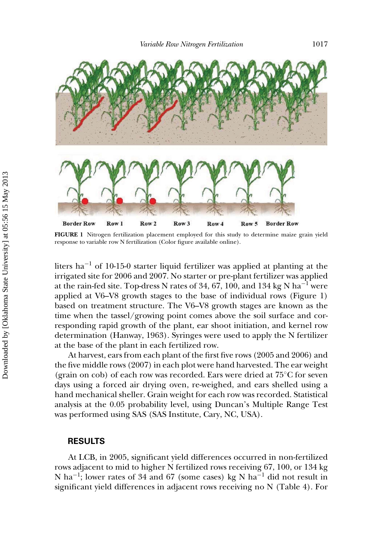

**FIGURE 1** Nitrogen fertilization placement employed for this study to determine maize grain yield response to variable row N fertilization (Color figure available online).

liters ha−<sup>1</sup> of 10-15-0 starter liquid fertilizer was applied at planting at the irrigated site for 2006 and 2007. No starter or pre-plant fertilizer was applied at the rain-fed site. Top-dress N rates of 34, 67, 100, and 134 kg N ha<sup>-1</sup> were applied at V6–V8 growth stages to the base of individual rows (Figure 1) based on treatment structure. The V6–V8 growth stages are known as the time when the tassel/growing point comes above the soil surface and corresponding rapid growth of the plant, ear shoot initiation, and kernel row determination (Hanway, 1963). Syringes were used to apply the N fertilizer at the base of the plant in each fertilized row.

At harvest, ears from each plant of the first five rows (2005 and 2006) and the five middle rows (2007) in each plot were hand harvested. The ear weight (grain on cob) of each row was recorded. Ears were dried at 75◦C for seven days using a forced air drying oven, re-weighed, and ears shelled using a hand mechanical sheller. Grain weight for each row was recorded. Statistical analysis at the 0.05 probability level, using Duncan's Multiple Range Test was performed using SAS (SAS Institute, Cary, NC, USA).

#### **RESULTS**

At LCB, in 2005, significant yield differences occurred in non-fertilized rows adjacent to mid to higher N fertilized rows receiving 67, 100, or 134 kg N ha<sup>-1</sup>; lower rates of 34 and 67 (some cases) kg N ha<sup>-1</sup> did not result in significant yield differences in adjacent rows receiving no N (Table 4). For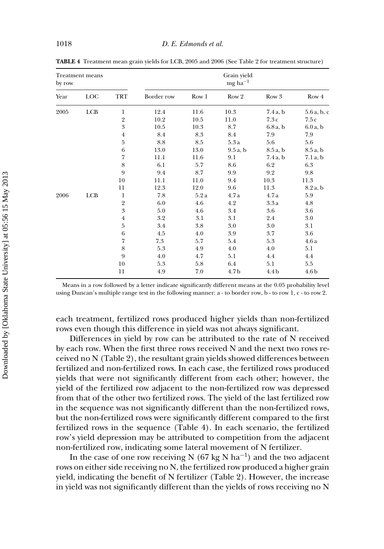| <b>Treatment means</b><br>by row |            |                  |                 | Grain yield<br>$mg$ ha <sup><math>-1</math></sup> |                  |                  |                  |
|----------------------------------|------------|------------------|-----------------|---------------------------------------------------|------------------|------------------|------------------|
| Year                             | <b>LOC</b> | TRT              | Border row      | Row 1                                             | Row <sub>2</sub> | Row 3            | Row 4            |
| 2005                             | <b>LCB</b> | 1                | 12.4            | 11.6                                              | 10.3             | $7.4a$ , b       | 5.6a, b, c       |
|                                  |            | $\,2\,$          | 10.2            | 10.5                                              | 11.0             | 7.3c             | 7.5c             |
|                                  |            | $\overline{3}$   | 10.5            | 10.3                                              | 8.7              | 6.8a, b          | 6.0a, b          |
|                                  |            | $\overline{4}$   | 8.4             | 8.3                                               | 8.4              | 7.9              | 7.9              |
|                                  |            | $\overline{5}$   | $\!\!\!\!\!8.8$ | 8.5                                               | 5.3a             | 5.6              | 5.6              |
|                                  |            | 6                | 13.0            | 13.0                                              | 9.5a, b          | 8.5a, b          | 8.5a, b          |
|                                  |            | 7                | 11.1            | 11.6                                              | 9.1              | $7.4a$ , b       | 7.1 a, b         |
|                                  |            | $\,$ 8 $\,$      | 6.1             | 5.7                                               | 8.6              | 6.2              | 6.3              |
|                                  |            | 9                | 9.4             | 8.7                                               | 9.9              | 9.2              | 9.8              |
|                                  |            | 10               | 11.1            | 11.0                                              | 9.4              | 10.3             | 11.3             |
|                                  |            | 11               | 12.3            | 12.0                                              | 9.6              | 11.3             | 8.2a, b          |
| 2006                             | LCB        | $\mathbf{1}$     | 7.8             | 5.2a                                              | 4.7a             | 4.7a             | 5.9              |
|                                  |            | $\,2$            | 6.0             | 4.6                                               | 4.2              | 3.3a             | 4.8              |
|                                  |            | $\boldsymbol{3}$ | 5.0             | 4.6                                               | 3.4              | 3.6              | 3.6              |
|                                  |            | $\overline{4}$   | 3.2             | 3.1                                               | 3.1              | 2.4              | $3.0\,$          |
|                                  |            | $\overline{5}$   | 3.4             | 3.8                                               | 3.0              | 3.0              | 3.1              |
|                                  |            | $\,6\,$          | 4.5             | 4.0                                               | 3.9              | 3.7              | 3.6              |
|                                  |            | $\overline{7}$   | 7.3             | 5.7                                               | 5.4              | 5.3              | 4.6a             |
|                                  |            | 8                | 5.3             | 4.9                                               | 4.0              | 4.0              | 5.1              |
|                                  |            | 9                | 4.0             | 4.7                                               | 5.1              | 4.4              | 4.4              |
|                                  |            | 10               | 5.3             | 5.8                                               | 6.4              | 5.1              | 5.5              |
|                                  |            | 11               | 4.9             | 7.0                                               | 4.7 <sub>b</sub> | 4.4 <sub>b</sub> | 4.6 <sub>b</sub> |

**TABLE 4** Treatment mean grain yields for LCB, 2005 and 2006 (See Table 2 for treatment structure)

Means in a row followed by a letter indicate significantly different means at the 0.05 probability level using Duncan's multiple range test in the following manner: a - to border row, b - to row 1, c - to row 2.

each treatment, fertilized rows produced higher yields than non-fertilized rows even though this difference in yield was not always significant.

Differences in yield by row can be attributed to the rate of N received by each row. When the first three rows received N and the next two rows received no N (Table 2), the resultant grain yields showed differences between fertilized and non-fertilized rows. In each case, the fertilized rows produced yields that were not significantly different from each other; however, the yield of the fertilized row adjacent to the non-fertilized row was depressed from that of the other two fertilized rows. The yield of the last fertilized row in the sequence was not significantly different than the non-fertilized rows, but the non-fertilized rows were significantly different compared to the first fertilized rows in the sequence (Table 4). In each scenario, the fertilized row's yield depression may be attributed to competition from the adjacent non-fertilized row, indicating some lateral movement of N fertilizer.

In the case of one row receiving N (67 kg N ha<sup>-1</sup>) and the two adjacent rows on either side receiving no N, the fertilized row produced a higher grain yield, indicating the benefit of N fertilizer (Table 2). However, the increase in yield was not significantly different than the yields of rows receiving no N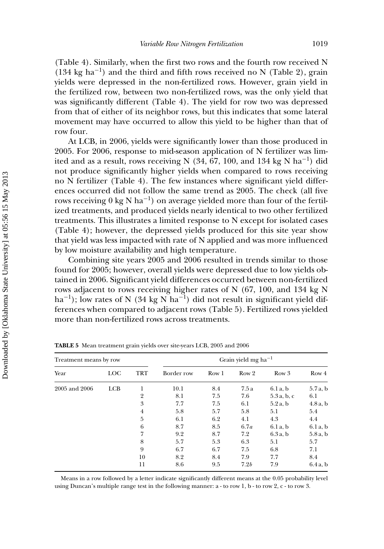(Table 4). Similarly, when the first two rows and the fourth row received N (134 kg ha<sup>-1</sup>) and the third and fifth rows received no N (Table 2), grain yields were depressed in the non-fertilized rows. However, grain yield in the fertilized row, between two non-fertilized rows, was the only yield that was significantly different (Table 4). The yield for row two was depressed from that of either of its neighbor rows, but this indicates that some lateral movement may have occurred to allow this yield to be higher than that of row four.

At LCB, in 2006, yields were significantly lower than those produced in 2005. For 2006, response to mid-season application of N fertilizer was limited and as a result, rows receiving N (34, 67, 100, and 134 kg N ha<sup>-1</sup>) did not produce significantly higher yields when compared to rows receiving no N fertilizer (Table 4). The few instances where significant yield differences occurred did not follow the same trend as 2005. The check (all five rows receiving 0 kg N ha<sup>-1</sup>) on average yielded more than four of the fertilized treatments, and produced yields nearly identical to two other fertilized treatments. This illustrates a limited response to N except for isolated cases (Table 4); however, the depressed yields produced for this site year show that yield was less impacted with rate of N applied and was more influenced by low moisture availability and high temperature.

Combining site years 2005 and 2006 resulted in trends similar to those found for 2005; however, overall yields were depressed due to low yields obtained in 2006. Significant yield differences occurred between non-fertilized rows adjacent to rows receiving higher rates of N (67, 100, and 134 kg N ha<sup>-1</sup>); low rates of N (34 kg N ha<sup>-1</sup>) did not result in significant yield differences when compared to adjacent rows (Table 5). Fertilized rows yielded more than non-fertilized rows across treatments.

| Treatment means by row |            |                | Grain yield mg ha <sup>-1</sup> |       |                  |            |            |  |  |
|------------------------|------------|----------------|---------------------------------|-------|------------------|------------|------------|--|--|
| Year                   | <b>LOC</b> | TRT            | Border row                      | Row 1 | Row <sub>2</sub> | Row 3      | Row 4      |  |  |
| 2005 and 2006          | <b>LCB</b> |                | 10.1                            | 8.4   | 7.5 a            | 6.1a, b    | 5.7a, b    |  |  |
|                        |            | $\overline{2}$ | 8.1                             | 7.5   | 7.6              | 5.3a, b, c | 6.1        |  |  |
|                        |            | 3              | 7.7                             | 7.5   | 6.1              | $5.2a$ , b | 4.8a, b    |  |  |
|                        |            | 4              | 5.8                             | 5.7   | 5.8              | 5.1        | 5.4        |  |  |
|                        |            | 5              | 6.1                             | 6.2   | 4.1              | 4.3        | 4.4        |  |  |
|                        |            | 6              | 8.7                             | 8.5   | 6.7a             | 6.1a, b    | 6.1a, b    |  |  |
|                        |            | 7              | 9.2                             | 8.7   | 7.2              | $6.3a$ , b | $5.8a$ , b |  |  |
|                        |            | 8              | 5.7                             | 5.3   | 6.3              | 5.1        | 5.7        |  |  |
|                        |            | 9              | 6.7                             | 6.7   | 7.5              | 6.8        | 7.1        |  |  |
|                        |            | 10             | 8.2                             | 8.4   | 7.9              | 7.7        | 8.4        |  |  |
|                        |            | 11             | 8.6                             | 9.5   | 7.2b             | 7.9        | $6.4a$ , b |  |  |

**TABLE 5** Mean treatment grain yields over site-years LCB, 2005 and 2006

Means in a row followed by a letter indicate significantly different means at the 0.05 probability level using Duncan's multiple range test in the following manner: a - to row 1, b - to row 2, c - to row 3.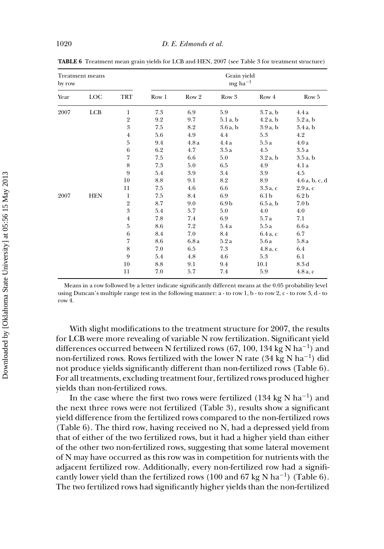| by row | <b>Treatment means</b> |                  |       |       | Grain yield<br>$mg$ ha <sup>-1</sup> |                  |                  |
|--------|------------------------|------------------|-------|-------|--------------------------------------|------------------|------------------|
| Year   | LOC                    | TRT              | Row 1 | Row 2 | Row 3                                | Row 4            | Row 5            |
| 2007   | LCB                    | 1                | 7.3   | 6.9   | 5.9                                  | 3.7a, b          | 4.4a             |
|        |                        | $\overline{2}$   | 9.2   | 9.7   | 5.1 a, b                             | 4.2a, b          | 5.2a, b          |
|        |                        | $\boldsymbol{3}$ | 7.5   | 8.2   | 3.6a, b                              | 3.9a, b          | 3.4a, b          |
|        |                        | $\overline{4}$   | 5.6   | 4.9   | 4.4                                  | 5.3              | 4.2              |
|        |                        | $\overline{5}$   | 9.4   | 4.8a  | 4.4a                                 | 5.5a             | 4.0a             |
|        |                        | $\,6\,$          | 6.2   | 4.7   | 3.5a                                 | 4.5              | 3.5a             |
|        |                        | 7                | 7.5   | 6.6   | 5.0                                  | 3.2a, b          | 3.5a, b          |
|        |                        | $\,8\,$          | 7.3   | 5.0   | 6.5                                  | 4.9              | 4.1 a            |
|        |                        | 9                | 5.4   | 3.9   | 3.4                                  | 3.9              | 4.5              |
|        |                        | 10               | 8.8   | 9.1   | 8.2                                  | 8.9              | 4.6a, b, c, d    |
|        |                        | 11               | 7.5   | 4.6   | 6.6                                  | $3.3a$ , c       | $2.9a$ , c       |
| 2007   | <b>HEN</b>             | $\mathbf{1}$     | 7.5   | 8.4   | 6.9                                  | 6.1 <sub>b</sub> | 6.2 <sub>b</sub> |
|        |                        | $\,2$            | 8.7   | 9.0   | 6.9 <sub>b</sub>                     | 6.5a, b          | 7.0 <sub>b</sub> |
|        |                        | $\boldsymbol{3}$ | 5.4   | 5.7   | 5.0                                  | 4.0              | 4.0              |
|        |                        | $\overline{4}$   | 7.8   | 7.4   | 6.9                                  | 5.7 a            | 7.1              |
|        |                        | $\bf 5$          | 8.6   | 7.2   | 5.4a                                 | 5.5a             | 6.6a             |
|        |                        | $\,6\,$          | 8.4   | 7.0   | 8.4                                  | $6.4a$ , c       | 6.7              |
|        |                        | 7                | 8.6   | 6.8 a | 5.2a                                 | 5.6 a            | 5.8 a            |
|        |                        | 8                | 7.0   | 6.5   | 7.3                                  | $4.8a$ , c       | 6.4              |
|        |                        | 9                | 5.4   | 4.8   | 4.6                                  | 5.3              | 6.1              |
|        |                        | 10               | 8.8   | 9.1   | 9.4                                  | 10.1             | 8.3d             |
|        |                        | 11               | 7.0   | 5.7   | 7.4                                  | 5.9              | $4.8a$ , c       |

**TABLE 6** Treatment mean grain yields for LCB and HEN, 2007 (see Table 3 for treatment structure)

Means in a row followed by a letter indicate significantly different means at the 0.05 probability level using Duncan's multiple range test in the following manner:  $a - to row 1$ ,  $b - to row 2$ ,  $c - to row 3$ ,  $d - to$ row 4.

With slight modifications to the treatment structure for 2007, the results for LCB were more revealing of variable N row fertilization. Significant yield differences occurred between N fertilized rows (67, 100, 134 kg N ha<sup>-1</sup>) and non-fertilized rows. Rows fertilized with the lower N rate (34 kg N ha<sup>-1</sup>) did not produce yields significantly different than non-fertilized rows (Table 6). For all treatments, excluding treatment four, fertilized rows produced higher yields than non-fertilized rows.

In the case where the first two rows were fertilized (134 kg N ha<sup>-1</sup>) and the next three rows were not fertilized (Table 3), results show a significant yield difference from the fertilized rows compared to the non-fertilized rows (Table 6). The third row, having received no N, had a depressed yield from that of either of the two fertilized rows, but it had a higher yield than either of the other two non-fertilized rows, suggesting that some lateral movement of N may have occurred as this row was in competition for nutrients with the adjacent fertilized row. Additionally, every non-fertilized row had a significantly lower yield than the fertilized rows (100 and 67 kg N ha<sup>-1</sup>) (Table 6). The two fertilized rows had significantly higher yields than the non-fertilized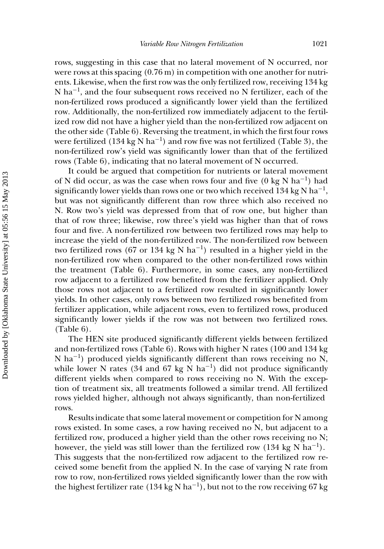rows, suggesting in this case that no lateral movement of N occurred, nor were rows at this spacing  $(0.76 \,\mathrm{m})$  in competition with one another for nutrients. Likewise, when the first row was the only fertilized row, receiving 134 kg N ha<sup>-1</sup>, and the four subsequent rows received no N fertilizer, each of the non-fertilized rows produced a significantly lower yield than the fertilized row. Additionally, the non-fertilized row immediately adjacent to the fertilized row did not have a higher yield than the non-fertilized row adjacent on the other side (Table 6). Reversing the treatment, in which the first four rows were fertilized (134 kg N ha<sup>-1</sup>) and row five was not fertilized (Table 3), the non-fertilized row's yield was significantly lower than that of the fertilized rows (Table 6), indicating that no lateral movement of N occurred.

It could be argued that competition for nutrients or lateral movement of N did occur, as was the case when rows four and five (0 kg N ha<sup>-1</sup>) had significantly lower yields than rows one or two which received 134 kg N ha<sup>-1</sup>, but was not significantly different than row three which also received no N. Row two's yield was depressed from that of row one, but higher than that of row three; likewise, row three's yield was higher than that of rows four and five. A non-fertilized row between two fertilized rows may help to increase the yield of the non-fertilized row. The non-fertilized row between two fertilized rows (67 or 134 kg N ha<sup>-1</sup>) resulted in a higher yield in the non-fertilized row when compared to the other non-fertilized rows within the treatment (Table 6). Furthermore, in some cases, any non-fertilized row adjacent to a fertilized row benefited from the fertilizer applied. Only those rows not adjacent to a fertilized row resulted in significantly lower yields. In other cases, only rows between two fertilized rows benefited from fertilizer application, while adjacent rows, even to fertilized rows, produced significantly lower yields if the row was not between two fertilized rows. (Table 6).

The HEN site produced significantly different yields between fertilized and non-fertilized rows (Table 6). Rows with higher N rates (100 and 134 kg N ha−1) produced yields significantly different than rows receiving no N, while lower N rates (34 and 67 kg N ha<sup>-1</sup>) did not produce significantly different yields when compared to rows receiving no N. With the exception of treatment six, all treatments followed a similar trend. All fertilized rows yielded higher, although not always significantly, than non-fertilized rows.

Results indicate that some lateral movement or competition for N among rows existed. In some cases, a row having received no N, but adjacent to a fertilized row, produced a higher yield than the other rows receiving no N; however, the yield was still lower than the fertilized row (134 kg N ha<sup>-1</sup>). This suggests that the non-fertilized row adjacent to the fertilized row received some benefit from the applied N. In the case of varying N rate from row to row, non-fertilized rows yielded significantly lower than the row with the highest fertilizer rate (134 kg N ha<sup>-1</sup>), but not to the row receiving 67 kg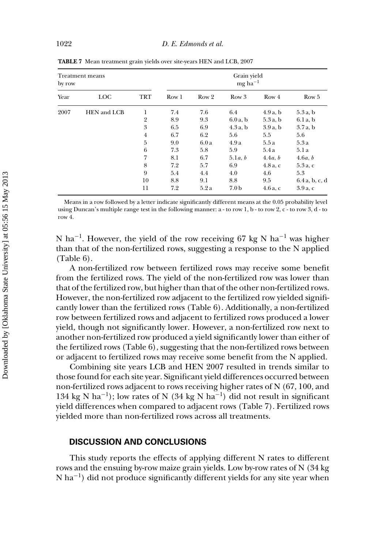| <b>Treatment means</b><br>by row |             |                |                  | Grain yield<br>$mg$ ha <sup>-1</sup> |                  |            |               |
|----------------------------------|-------------|----------------|------------------|--------------------------------------|------------------|------------|---------------|
| Year                             | LOC         | <b>TRT</b>     | Row <sub>1</sub> | Row 2                                | Row 3            | Row 4      | Row 5         |
| 2007                             | HEN and LCB | 1              | 7.4              | 7.6                                  | 6.4              | 4.9a, b    | 5.3a, b       |
|                                  |             | $\overline{2}$ | 8.9              | 9.3                                  | 6.0a, b          | $5.3a$ , b | 6.1a, b       |
|                                  |             | 3              | 6.5              | 6.9                                  | 4.3a, b          | 3.9a, b    | 3.7a, b       |
|                                  |             | $\overline{4}$ | 6.7              | 6.2                                  | 5.6              | 5.5        | 5.6           |
|                                  |             | 5              | 9.0              | 6.0a                                 | 4.9a             | 5.5a       | 5.3a          |
|                                  |             | $\,6\,$        | 7.3              | 5.8                                  | 5.9              | 5.4a       | 5.1a          |
|                                  |             | 7              | 8.1              | 6.7                                  | 5.1a, b          | 4.4a, b    | 4.6a, b       |
|                                  |             | 8              | 7.2              | 5.7                                  | 6.9              | $4.8a$ , c | $5.3a$ , c    |
|                                  |             | 9              | 5.4              | 4.4                                  | 4.0              | 4.6        | 5.3           |
|                                  |             | 10             | 8.8              | 9.1                                  | 8.8              | 9.5        | 6.4a, b, c, d |
|                                  |             | 11             | 7.2              | 5.2a                                 | 7.0 <sub>b</sub> | $4.6a$ , c | $3.9a$ , c    |

**TABLE 7** Mean treatment grain yields over site-years HEN and LCB, 2007

Means in a row followed by a letter indicate significantly different means at the 0.05 probability level using Duncan's multiple range test in the following manner: a - to row 1, b - to row 2, c - to row 3, d - to row 4.

N ha<sup>-1</sup>. However, the yield of the row receiving 67 kg N ha<sup>-1</sup> was higher than that of the non-fertilized rows, suggesting a response to the N applied (Table 6).

A non-fertilized row between fertilized rows may receive some benefit from the fertilized rows. The yield of the non-fertilized row was lower than that of the fertilized row, but higher than that of the other non-fertilized rows. However, the non-fertilized row adjacent to the fertilized row yielded significantly lower than the fertilized rows (Table 6). Additionally, a non-fertilized row between fertilized rows and adjacent to fertilized rows produced a lower yield, though not significantly lower. However, a non-fertilized row next to another non-fertilized row produced a yield significantly lower than either of the fertilized rows (Table 6), suggesting that the non-fertilized rows between or adjacent to fertilized rows may receive some benefit from the N applied.

Combining site years LCB and HEN 2007 resulted in trends similar to those found for each site year. Significant yield differences occurred between non-fertilized rows adjacent to rows receiving higher rates of N (67, 100, and 134 kg N ha<sup>-1</sup>); low rates of N (34 kg N ha<sup>-1</sup>) did not result in significant yield differences when compared to adjacent rows (Table 7). Fertilized rows yielded more than non-fertilized rows across all treatments.

#### **DISCUSSION AND CONCLUSIONS**

This study reports the effects of applying different N rates to different rows and the ensuing by-row maize grain yields. Low by-row rates of N (34 kg N ha<sup>-1</sup>) did not produce significantly different yields for any site year when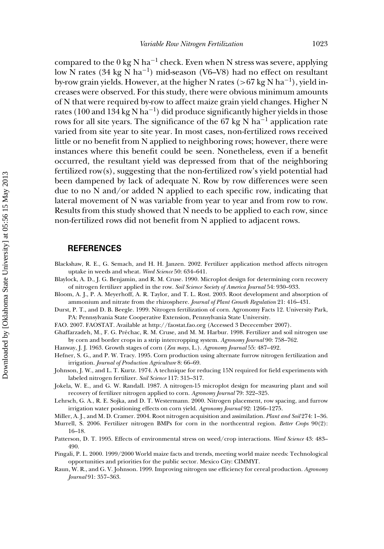compared to the  $0 \text{ kg N} \text{ ha}^{-1}$  check. Even when N stress was severe, applying low N rates (34 kg N ha−1) mid-season (V6–V8) had no effect on resultant by-row grain yields. However, at the higher N rates (*>*67 kg N ha−1), yield increases were observed. For this study, there were obvious minimum amounts of N that were required by-row to affect maize grain yield changes. Higher N rates (100 and 134 kg N ha<sup>-1</sup>) did produce significantly higher yields in those rows for all site years. The significance of the 67 kg N ha<sup>-1</sup> application rate varied from site year to site year. In most cases, non-fertilized rows received little or no benefit from N applied to neighboring rows; however, there were instances where this benefit could be seen. Nonetheless, even if a benefit occurred, the resultant yield was depressed from that of the neighboring fertilized row(s), suggesting that the non-fertilized row's yield potential had been dampened by lack of adequate N. Row by row differences were seen due to no N and/or added N applied to each specific row, indicating that lateral movement of N was variable from year to year and from row to row. Results from this study showed that N needs to be applied to each row, since non-fertilized rows did not benefit from N applied to adjacent rows.

#### **REFERENCES**

- Blackshaw, R. E., G. Semach, and H. H. Janzen. 2002. Fertilizer application method affects nitrogen uptake in weeds and wheat. *Weed Science* 50: 634–641.
- Blaylock, A. D., J. G. Benjamin, and R. M. Cruse. 1990. Microplot design for determining corn recovery of nitrogen fertilizer applied in the row. *Soil Science Society of America Journal* 54: 930–933.
- Bloom, A. J., P. A. Meyerhoff, A. R. Taylor, and T. L. Rost. 2003. Root development and absorption of ammonium and nitrate from the rhizosphere. *Journal of Plant Growth Regulation* 21: 416–431.

Durst, P. T., and D. B. Beegle. 1999. Nitrogen fertilization of corn. Agronomy Facts 12. University Park, PA: Pennsylvania State Cooperative Extension, Pennsylvania State University.

FAO. 2007. FAOSTAT. Available at http://faostat.fao.org (Accessed 3 Dececember 2007).

Ghaffarzadeh, M., F. G. Prechac, R. M. Cruse, and M. M. Harbur. 1998. Fertilizer and soil nitrogen use ´ by corn and border crops in a strip intercropping system. *Agronomy Journal* 90: 758–762.

Hanway, J. J. 1963. Growth stages of corn (*Zea mays*, L.). *Agronomy Journal* 55: 487–492.

- Hefner, S. G., and P. W. Tracy. 1995. Corn production using alternate furrow nitrogen fertilization and irrigation. *Journal of Production Agriculture* 8: 66–69.
- Johnson, J. W., and L. T. Kurtz. 1974. A technique for reducing 15N required for field experiments with labeled nitrogen fertilizer. *Soil Science* 117: 315–317.
- Jokela, W. E., and G. W. Randall. 1987. A nitrogen-15 microplot design for measuring plant and soil recovery of fertilizer nitrogen applied to corn. *Agronomy Journal* 79: 322–325.
- Lehrsch, G. A., R. E. Sojka, and D. T. Westermann. 2000. Nitrogen placement, row spacing, and furrow irrigation water positioning effects on corn yield. *Agronomy Journal* 92: 1266–1275.
- Miller, A. J., and M. D. Cramer. 2004. Root nitrogen acquisition and assimilation. *Plant and Soil* 274: 1–36.
- Murrell, S. 2006. Fertilizer nitrogen BMPs for corn in the northcentral region. *Better Crops* 90(2): 16–18.
- Patterson, D. T. 1995. Effects of environmental stress on weed/crop interactions. *Weed Science* 43: 483– 490.
- Pingali, P. L. 2000. 1999/2000 World maize facts and trends, meeting world maize needs: Technological opportunities and priorities for the public sector. Mexico City: CIMMYT.
- Raun, W. R., and G. V. Johnson. 1999. Improving nitrogen use efficiency for cereal production. *Agronomy Journal* 91: 357–363.